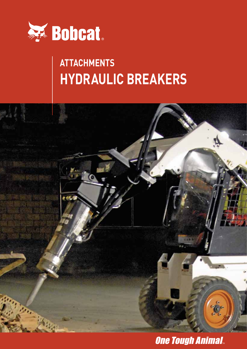

## **Attachments Hydraulic Breakers**



**One Tough Animal.**